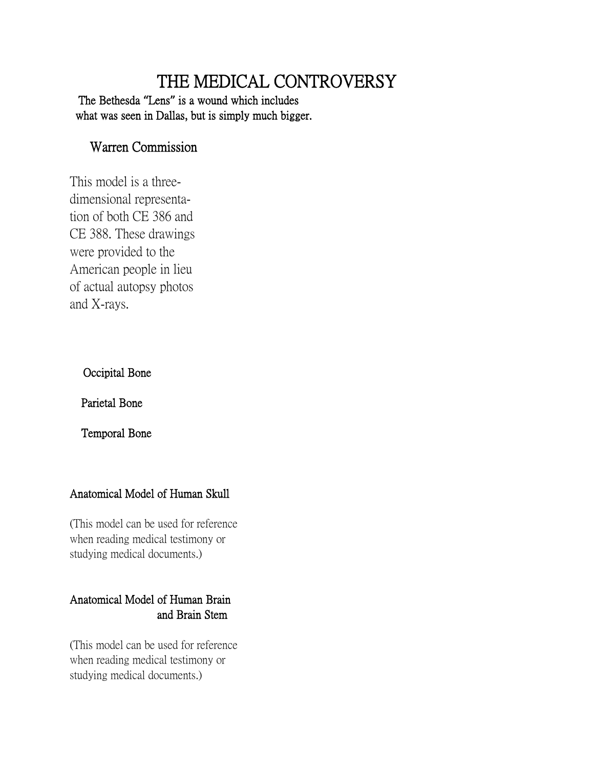# THE MEDICAL CONTROVERSY

The Bethesda **"**Lens**"** is a wound which includes what was seen in Dallas, but is simply much bigger.

# Warren Commission

This model is a threedimensional representation of both CE 386 and CE 388. These drawings were provided to the American people in lieu of actual autopsy photos and X-rays.

## Occipital Bone

Parietal Bone

Temporal Bone

## Anatomical Model of Human Skull

(This model can be used for reference when reading medical testimony or studying medical documents.)

## Anatomical Model of Human Brain and Brain Stem

(This model can be used for reference when reading medical testimony or studying medical documents.)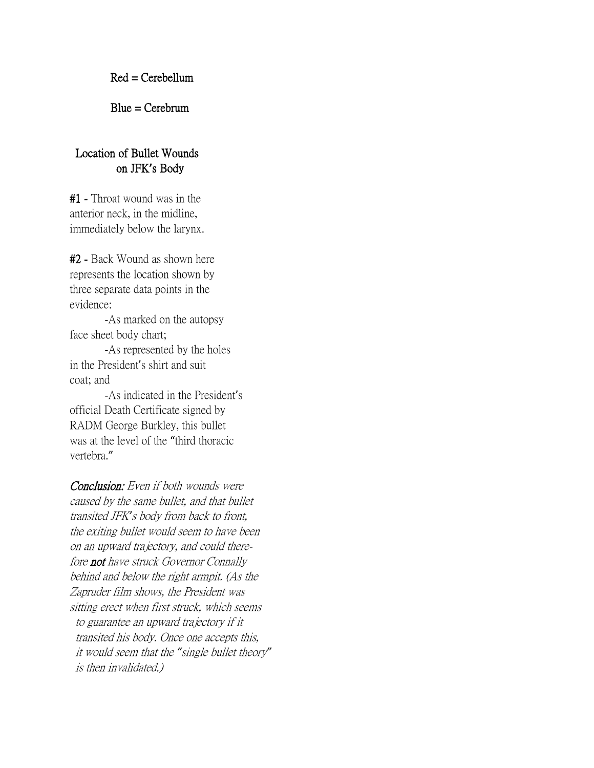Red = Cerebellum

Blue = Cerebrum

#### Location of Bullet Wounds on JFK**'**s Body

#1 - Throat wound was in the anterior neck, in the midline, immediately below the larynx.

#2 - Back Wound as shown here represents the location shown by three separate data points in the evidence:

 -As marked on the autopsy face sheet body chart;

 -As represented by the holes in the President's shirt and suit coat; and

 -As indicated in the President's official Death Certificate signed by RADM George Burkley, this bullet was at the level of the "third thoracic vertebra."

Conclusion: Even if both wounds were caused by the same bullet, and that bullet transited JFK*'*s body from back to front, the exiting bullet would seem to have been on an upward trajectory, and could therefore not have struck Governor Connally behind and below the right armpit. (As the Zapruder film shows, the President was sitting erect when first struck, which seems to guarantee an upward trajectory if it transited his body. Once one accepts this, it would seem that the *"*single bullet theory*"* is then invalidated.)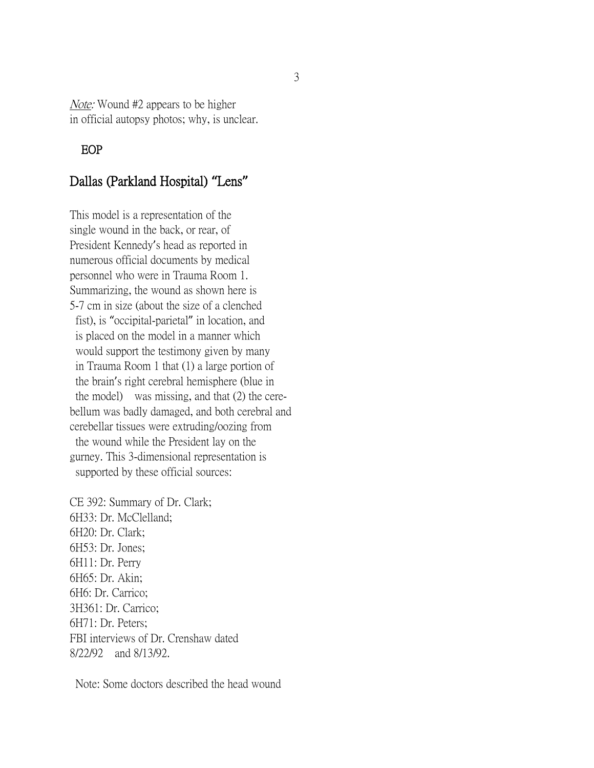Note: Wound #2 appears to be higher in official autopsy photos; why, is unclear.

#### EOP

## Dallas (Parkland Hospital) **"**Lens**"**

This model is a representation of the single wound in the back, or rear, of President Kennedy's head as reported in numerous official documents by medical personnel who were in Trauma Room 1. Summarizing, the wound as shown here is 5-7 cm in size (about the size of a clenched fist), is "occipital-parietal" in location, and is placed on the model in a manner which would support the testimony given by many in Trauma Room 1 that (1) a large portion of the brain's right cerebral hemisphere (blue in the model) was missing, and that (2) the cerebellum was badly damaged, and both cerebral and cerebellar tissues were extruding/oozing from the wound while the President lay on the gurney. This 3-dimensional representation is supported by these official sources:

CE 392: Summary of Dr. Clark; 6H33: Dr. McClelland; 6H20: Dr. Clark; 6H53: Dr. Jones; 6H11: Dr. Perry 6H65: Dr. Akin; 6H6: Dr. Carrico; 3H361: Dr. Carrico; 6H71: Dr. Peters; FBI interviews of Dr. Crenshaw dated 8/22/92 and 8/13/92.

Note: Some doctors described the head wound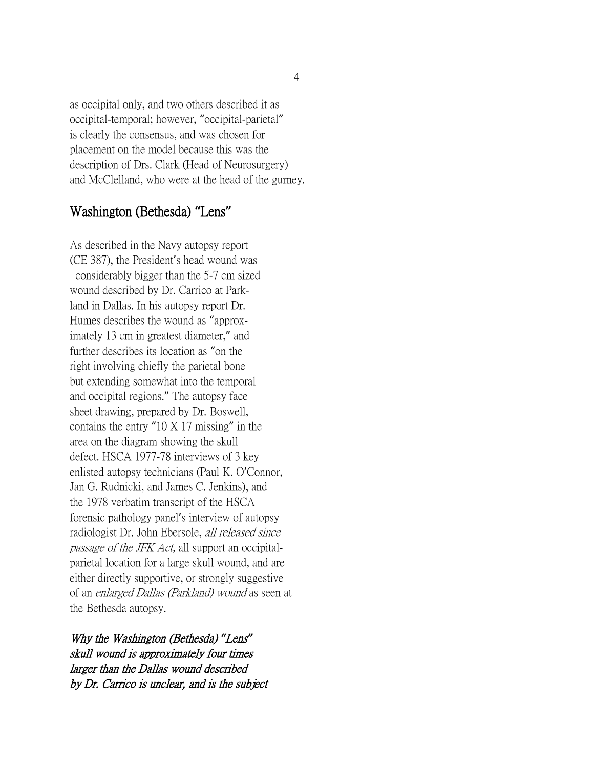as occipital only, and two others described it as occipital-temporal; however, "occipital-parietal" is clearly the consensus, and was chosen for placement on the model because this was the description of Drs. Clark (Head of Neurosurgery) and McClelland, who were at the head of the gurney.

# Washington (Bethesda) **"**Lens**"**

As described in the Navy autopsy report (CE 387), the President's head wound was considerably bigger than the 5-7 cm sized wound described by Dr. Carrico at Parkland in Dallas. In his autopsy report Dr. Humes describes the wound as "approximately 13 cm in greatest diameter," and further describes its location as "on the right involving chiefly the parietal bone but extending somewhat into the temporal and occipital regions." The autopsy face sheet drawing, prepared by Dr. Boswell, contains the entry "10 X 17 missing" in the area on the diagram showing the skull defect. HSCA 1977-78 interviews of 3 key enlisted autopsy technicians (Paul K. O'Connor, Jan G. Rudnicki, and James C. Jenkins), and the 1978 verbatim transcript of the HSCA forensic pathology panel's interview of autopsy radiologist Dr. John Ebersole, all released since passage of the JFK Act, all support an occipitalparietal location for a large skull wound, and are either directly supportive, or strongly suggestive of an enlarged Dallas (Parkland) wound as seen at the Bethesda autopsy.

Why the Washington (Bethesda) *"*Lens*"* skull wound is approximately four times larger than the Dallas wound described by Dr. Carrico is unclear, and is the subject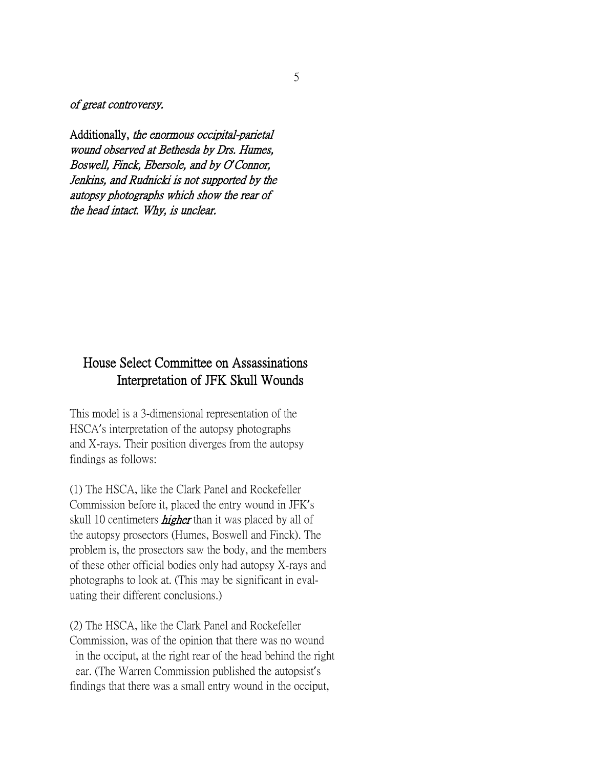of great controversy.

Additionally, the enormous occipital-parietal wound observed at Bethesda by Drs. Humes, Boswell, Finck, Ebersole, and by O*'*Connor, Jenkins, and Rudnicki is not supported by the autopsy photographs which show the rear of the head intact. Why, is unclear.

# House Select Committee on Assassinations Interpretation of JFK Skull Wounds

This model is a 3-dimensional representation of the HSCA's interpretation of the autopsy photographs and X-rays. Their position diverges from the autopsy findings as follows:

(1) The HSCA, like the Clark Panel and Rockefeller Commission before it, placed the entry wound in JFK's skull 10 centimeters *higher* than it was placed by all of the autopsy prosectors (Humes, Boswell and Finck). The problem is, the prosectors saw the body, and the members of these other official bodies only had autopsy X-rays and photographs to look at. (This may be significant in evaluating their different conclusions.)

(2) The HSCA, like the Clark Panel and Rockefeller Commission, was of the opinion that there was no wound in the occiput, at the right rear of the head behind the right ear. (The Warren Commission published the autopsist's findings that there was a small entry wound in the occiput,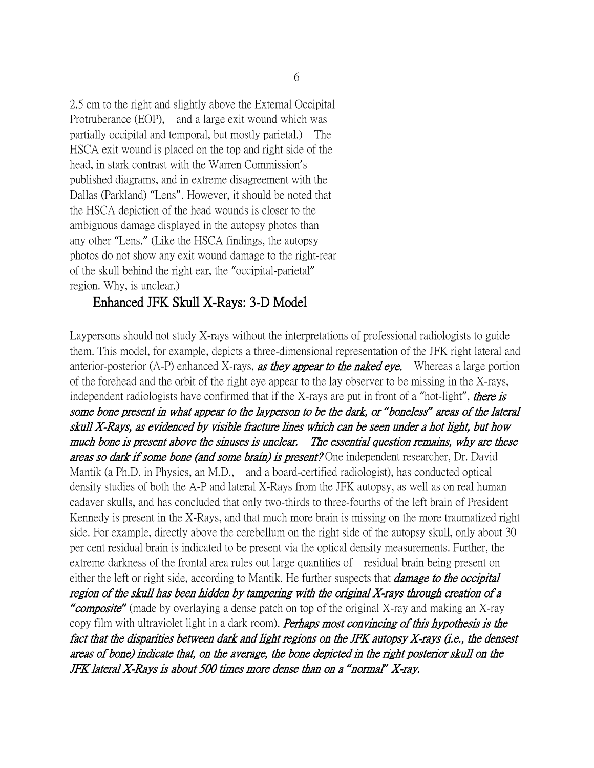2.5 cm to the right and slightly above the External Occipital Protruberance (EOP), and a large exit wound which was partially occipital and temporal, but mostly parietal.) The HSCA exit wound is placed on the top and right side of the head, in stark contrast with the Warren Commission's published diagrams, and in extreme disagreement with the Dallas (Parkland) "Lens". However, it should be noted that the HSCA depiction of the head wounds is closer to the ambiguous damage displayed in the autopsy photos than any other "Lens." (Like the HSCA findings, the autopsy photos do not show any exit wound damage to the right-rear of the skull behind the right ear, the "occipital-parietal" region. Why, is unclear.)

#### Enhanced JFK Skull X-Rays: 3-D Model

Laypersons should not study X-rays without the interpretations of professional radiologists to guide them. This model, for example, depicts a three-dimensional representation of the JFK right lateral and anterior-posterior (A-P) enhanced X-rays, as they appear to the naked eye. Whereas a large portion of the forehead and the orbit of the right eye appear to the lay observer to be missing in the X-rays, independent radiologists have confirmed that if the X-rays are put in front of a "hot-light", there is some bone present in what appear to the layperson to be the dark, or *"*boneless*"* areas of the lateral skull X-Rays, as evidenced by visible fracture lines which can be seen under a hot light, but how much bone is present above the sinuses is unclear. The essential question remains, why are these areas so dark if some bone (and some brain) is present? One independent researcher, Dr. David Mantik (a Ph.D. in Physics, an M.D., and a board-certified radiologist), has conducted optical density studies of both the A-P and lateral X-Rays from the JFK autopsy, as well as on real human cadaver skulls, and has concluded that only two-thirds to three-fourths of the left brain of President Kennedy is present in the X-Rays, and that much more brain is missing on the more traumatized right side. For example, directly above the cerebellum on the right side of the autopsy skull, only about 30 per cent residual brain is indicated to be present via the optical density measurements. Further, the extreme darkness of the frontal area rules out large quantities of residual brain being present on either the left or right side, according to Mantik. He further suspects that *damage to the occipital* region of the skull has been hidden by tampering with the original X-rays through creation of a *"*composite*"* (made by overlaying a dense patch on top of the original X-ray and making an X-ray copy film with ultraviolet light in a dark room). Perhaps most convincing of this hypothesis is the fact that the disparities between dark and light regions on the JFK autopsy X-rays (i.e., the densest areas of bone) indicate that, on the average, the bone depicted in the right posterior skull on the JFK lateral X-Rays is about 500 times more dense than on a *"*normal*"* X-ray.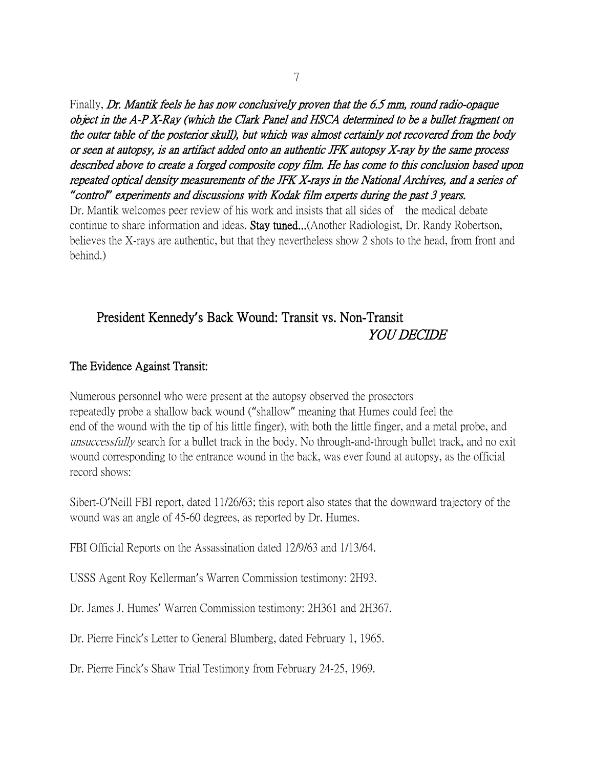Finally, Dr. Mantik feels he has now conclusively proven that the 6.5 mm, round radio-opaque object in the A-P X-Ray (which the Clark Panel and HSCA determined to be a bullet fragment on the outer table of the posterior skull), but which was almost certainly not recovered from the body or seen at autopsy, is an artifact added onto an authentic JFK autopsy X-ray by the same process described above to create a forged composite copy film. He has come to this conclusion based upon repeated optical density measurements of the JFK X-rays in the National Archives, and a series of *"*control*"* experiments and discussions with Kodak film experts during the past 3 years.

Dr. Mantik welcomes peer review of his work and insists that all sides of the medical debate continue to share information and ideas. Stay tuned...(Another Radiologist, Dr. Randy Robertson, believes the X-rays are authentic, but that they nevertheless show 2 shots to the head, from front and behind.)

# President Kennedy**'**s Back Wound: Transit vs. Non-Transit YOU DECIDE

### The Evidence Against Transit:

Numerous personnel who were present at the autopsy observed the prosectors repeatedly probe a shallow back wound ("shallow" meaning that Humes could feel the end of the wound with the tip of his little finger), with both the little finger, and a metal probe, and unsuccessfully search for a bullet track in the body. No through-and-through bullet track, and no exit wound corresponding to the entrance wound in the back, was ever found at autopsy, as the official record shows:

Sibert-O'Neill FBI report, dated 11/26/63; this report also states that the downward trajectory of the wound was an angle of 45-60 degrees, as reported by Dr. Humes.

FBI Official Reports on the Assassination dated 12/9/63 and 1/13/64.

USSS Agent Roy Kellerman's Warren Commission testimony: 2H93.

Dr. James J. Humes' Warren Commission testimony: 2H361 and 2H367.

Dr. Pierre Finck's Letter to General Blumberg, dated February 1, 1965.

Dr. Pierre Finck's Shaw Trial Testimony from February 24-25, 1969.